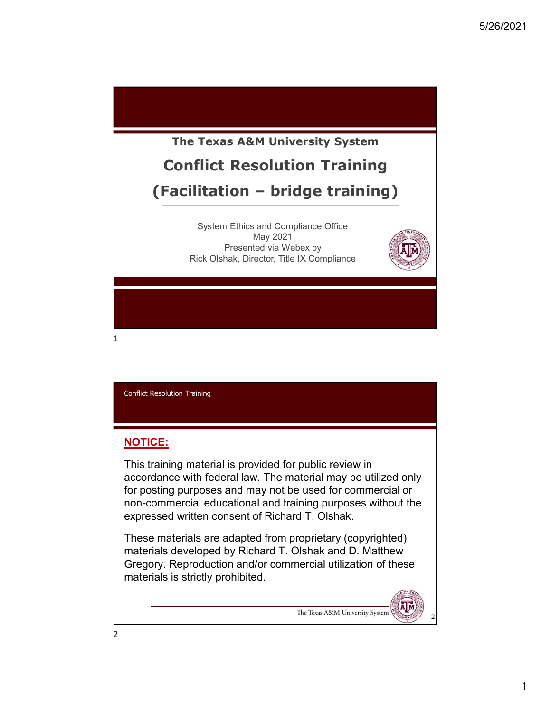

## NOTICE:

This training material is provided for public review in accordance with federal law. The material may be utilized only for posting purposes and may not be used for commercial or non-commercial educational and training purposes without the expressed written consent of Richard T. Olshak.

These materials are adapted from proprietary (copyrighted) materials developed by Richard T. Olshak and D. Matthew Gregory. Reproduction and/or commercial utilization of these materials is strictly prohibited.

The Texas A&M University System

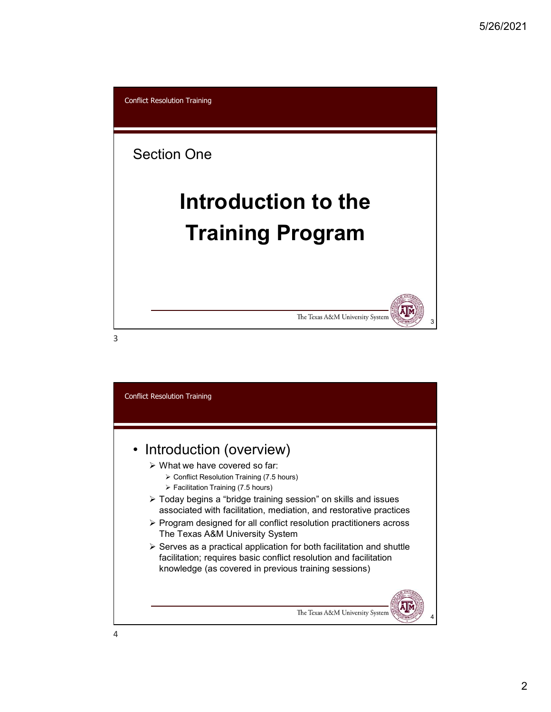

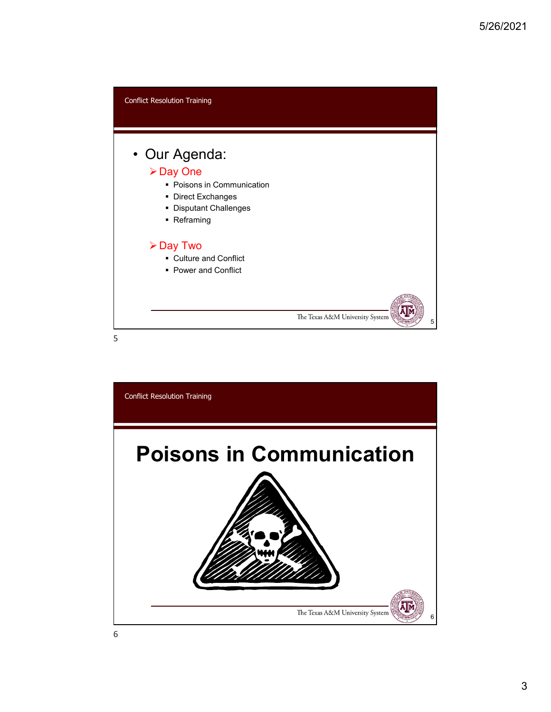

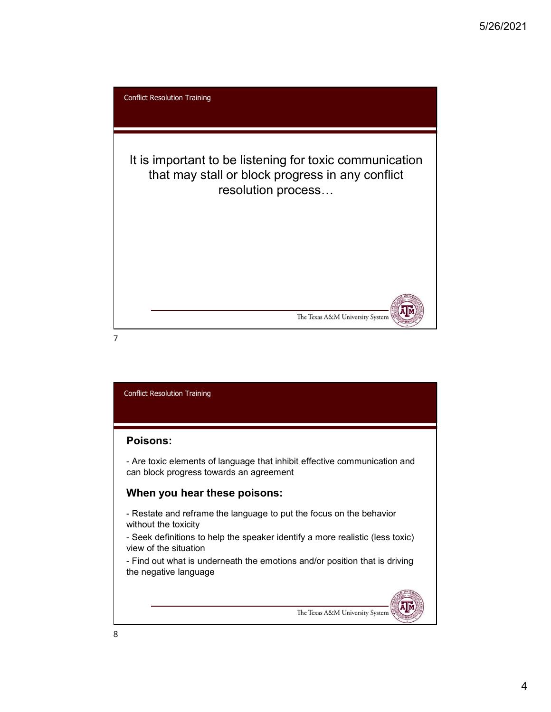

## Poisons:

can block progress towards an agreement

## When you hear these poisons:

without the toxicity

view of the situation

the negative language

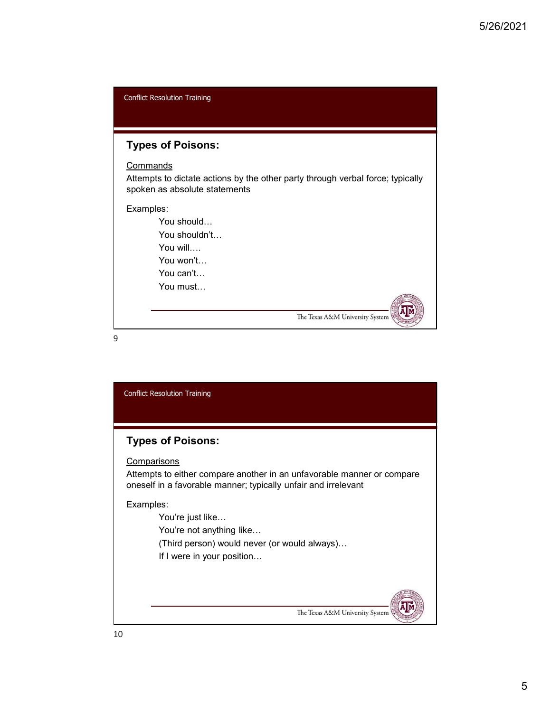| <b>Conflict Resolution Training</b>                                                                                         |
|-----------------------------------------------------------------------------------------------------------------------------|
|                                                                                                                             |
| <b>Types of Poisons:</b>                                                                                                    |
| Commands<br>Attempts to dictate actions by the other party through verbal force; typically<br>spoken as absolute statements |
| Examples:<br>You should<br>You shouldn't<br>You will $\ldots$<br>You won't<br>You can't<br>You must                         |
| The Texas A&M University System                                                                                             |

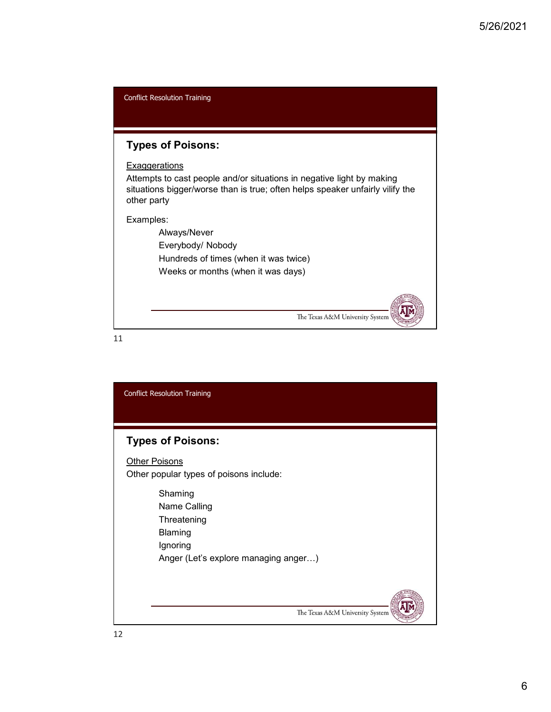

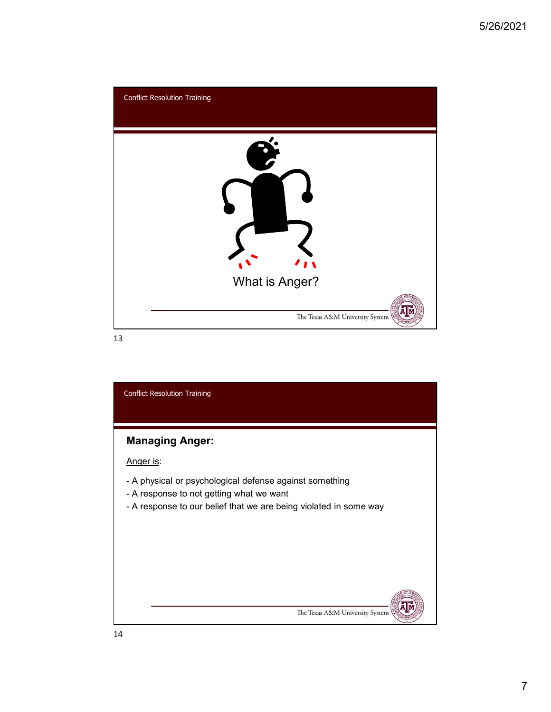

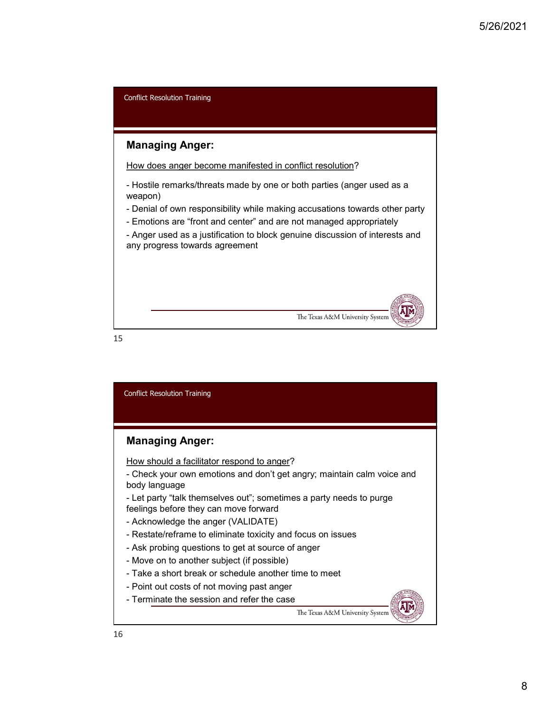

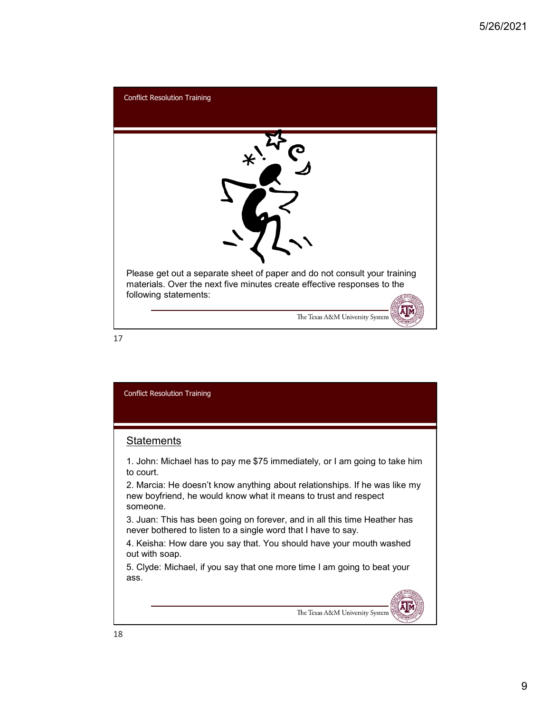

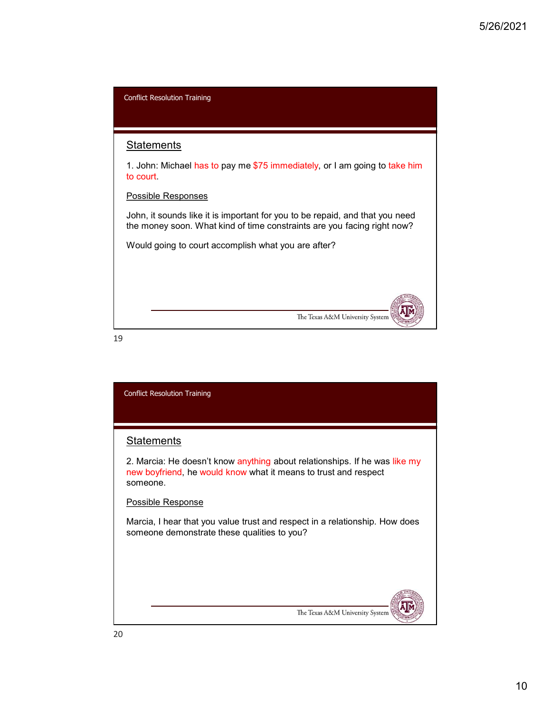

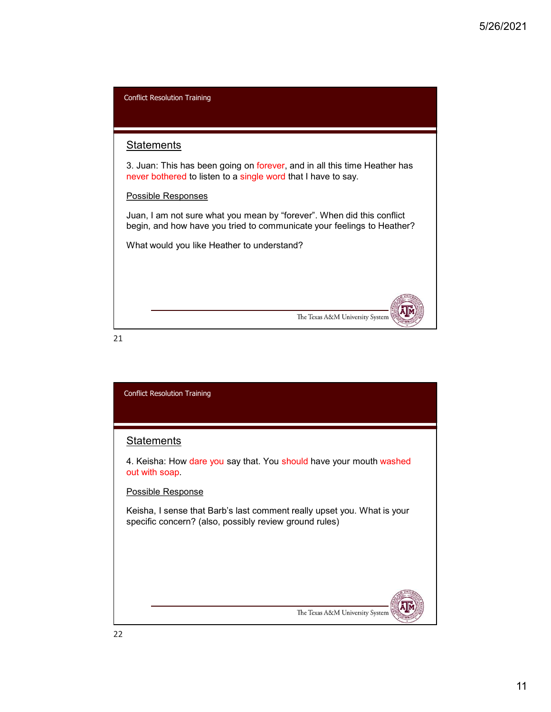

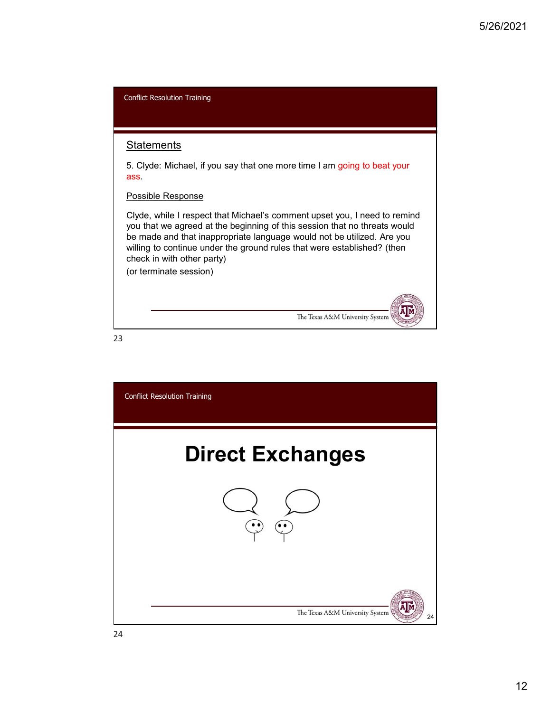| <b>Conflict Resolution Training</b>                                                                                                                                                                                                                                                                                                                                 |
|---------------------------------------------------------------------------------------------------------------------------------------------------------------------------------------------------------------------------------------------------------------------------------------------------------------------------------------------------------------------|
|                                                                                                                                                                                                                                                                                                                                                                     |
| <b>Statements</b>                                                                                                                                                                                                                                                                                                                                                   |
| 5. Clyde: Michael, if you say that one more time I am going to beat your<br>ass.                                                                                                                                                                                                                                                                                    |
| Possible Response                                                                                                                                                                                                                                                                                                                                                   |
| Clyde, while I respect that Michael's comment upset you, I need to remind<br>you that we agreed at the beginning of this session that no threats would<br>be made and that inappropriate language would not be utilized. Are you<br>willing to continue under the ground rules that were established? (then<br>check in with other party)<br>(or terminate session) |
| The Texas A&M University System                                                                                                                                                                                                                                                                                                                                     |
| 23                                                                                                                                                                                                                                                                                                                                                                  |

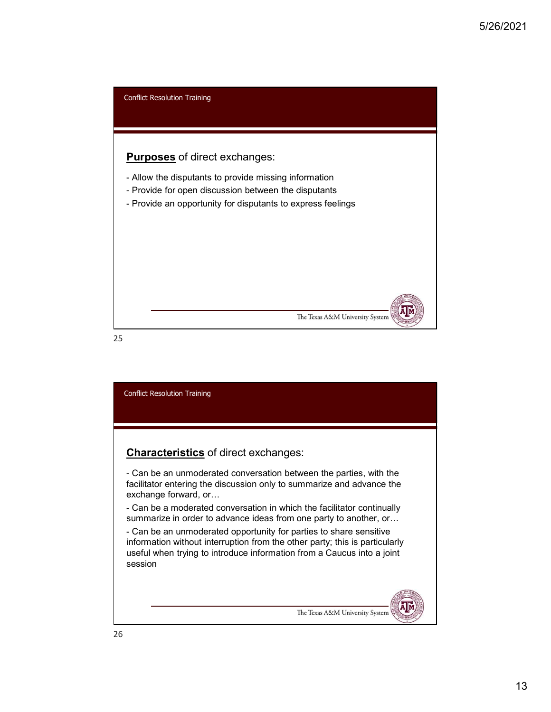

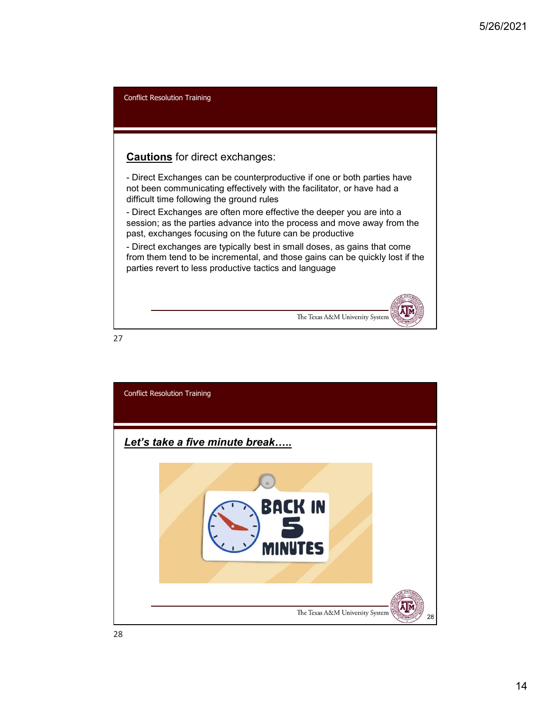Solar Conflict Resolution Training<br>
Cauttions for direct exchanges:<br>
- Direct Exchanges can be counterproductive if one or both parties have<br>
not been communicating effectively with the facilitator, or have had a<br>
difficul Example of the more of the contempt of the deeper scheme of the deeper scheme of the deeper scheme of the deeper you are into a difficult time following effective yielts the facilitator, or have had a difficult time follow Son Condict Resolution Training<br>
Condict Resolution Section Conditions for direct exchanges:<br>
- Direct Exchanges can be counterproductive if one or both parties have<br>
not been communicating effectively with the facilitator Conflict Resolution Training **Cautions** for direct exchanges: not been communicating effectively with the facilitator, or have had a difficult time following the ground rules session; as the parties advance into the process and move away from the past, exchanges focusing on the future can be productive from them tend to be incremental, and those gains can be quickly lost if the parties revert to less productive tactics and language The Texas A&M University System

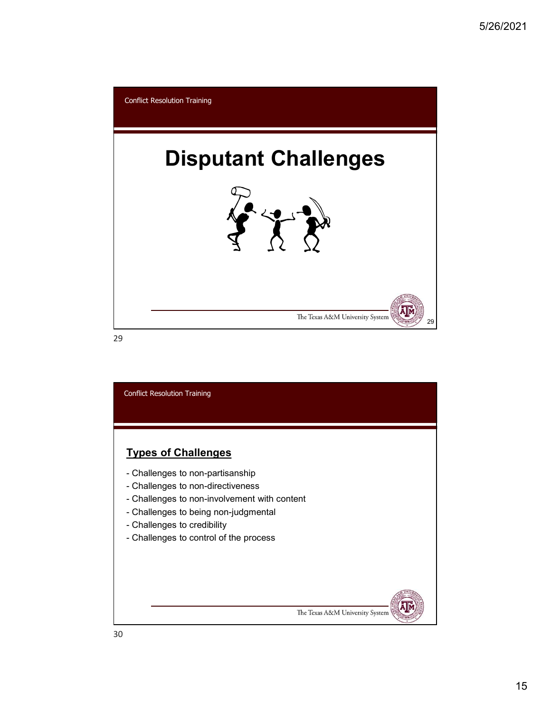

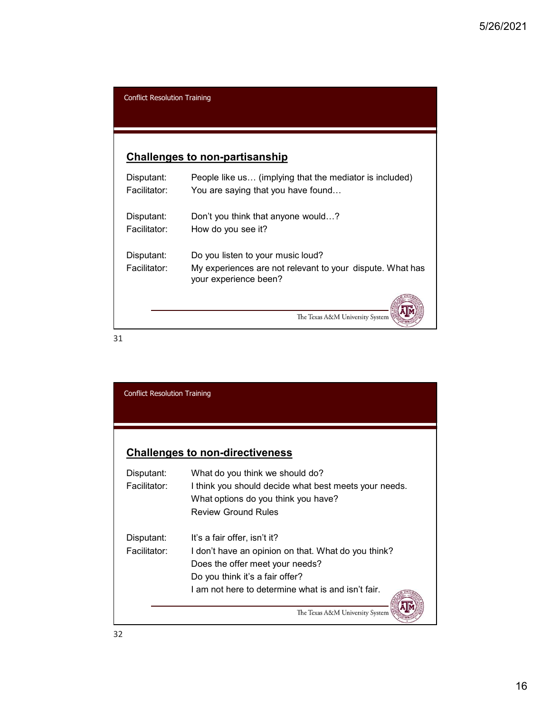## Challenges to non-partisanship

|                                     |                                                                                    | 5/26/2021 |  |
|-------------------------------------|------------------------------------------------------------------------------------|-----------|--|
|                                     |                                                                                    |           |  |
|                                     |                                                                                    |           |  |
| <b>Conflict Resolution Training</b> |                                                                                    |           |  |
|                                     |                                                                                    |           |  |
|                                     |                                                                                    |           |  |
|                                     | <b>Challenges to non-partisanship</b>                                              |           |  |
| Disputant:                          | People like us (implying that the mediator is included)                            |           |  |
| Facilitator:                        | You are saying that you have found                                                 |           |  |
| Disputant:                          | Don't you think that anyone would?                                                 |           |  |
| Facilitator:                        | How do you see it?                                                                 |           |  |
| Disputant:                          | Do you listen to your music loud?                                                  |           |  |
| Facilitator:                        | My experiences are not relevant to your dispute. What has<br>your experience been? |           |  |
|                                     | The Texas A&M University System                                                    |           |  |
|                                     |                                                                                    |           |  |

| The Texas A&M University System                       |                                                                                                                                                    |
|-------------------------------------------------------|----------------------------------------------------------------------------------------------------------------------------------------------------|
|                                                       |                                                                                                                                                    |
|                                                       |                                                                                                                                                    |
|                                                       |                                                                                                                                                    |
|                                                       |                                                                                                                                                    |
|                                                       |                                                                                                                                                    |
|                                                       |                                                                                                                                                    |
| What do you think we should do?                       |                                                                                                                                                    |
| I think you should decide what best meets your needs. |                                                                                                                                                    |
|                                                       |                                                                                                                                                    |
|                                                       |                                                                                                                                                    |
| It's a fair offer, isn't it?                          |                                                                                                                                                    |
| I don't have an opinion on that. What do you think?   |                                                                                                                                                    |
| Does the offer meet your needs?                       |                                                                                                                                                    |
| Do you think it's a fair offer?                       |                                                                                                                                                    |
| I am not here to determine what is and isn't fair.    |                                                                                                                                                    |
|                                                       | <b>Conflict Resolution Training</b><br><b>Challenges to non-directiveness</b><br>What options do you think you have?<br><b>Review Ground Rules</b> |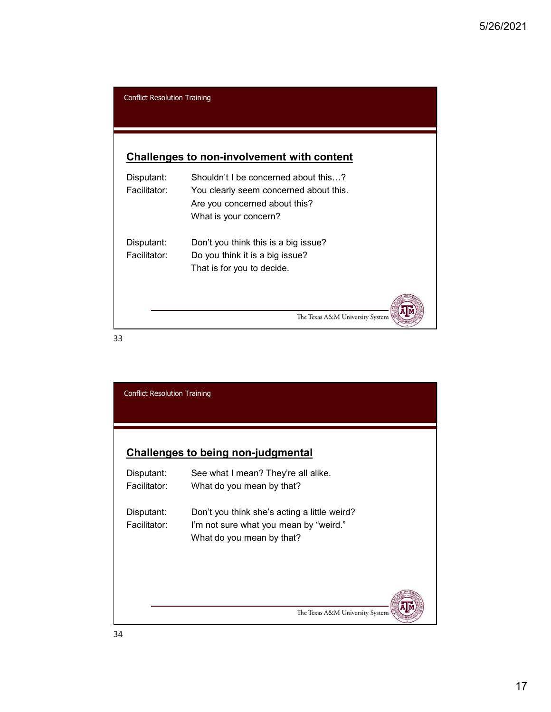|                                     |                                                                                | 5/26/2 |
|-------------------------------------|--------------------------------------------------------------------------------|--------|
|                                     |                                                                                |        |
|                                     |                                                                                |        |
| <b>Conflict Resolution Training</b> |                                                                                |        |
|                                     | <b>Challenges to non-involvement with content</b>                              |        |
| Disputant:<br>Facilitator:          | Shouldn't I be concerned about this?<br>You clearly seem concerned about this. |        |
|                                     | Are you concerned about this?<br>What is your concern?                         |        |
| Disputant:                          | Don't you think this is a big issue?                                           |        |
| Facilitator:                        | Do you think it is a big issue?<br>That is for you to decide.                  |        |
|                                     |                                                                                |        |
| 33                                  | The Texas A&M University System                                                |        |

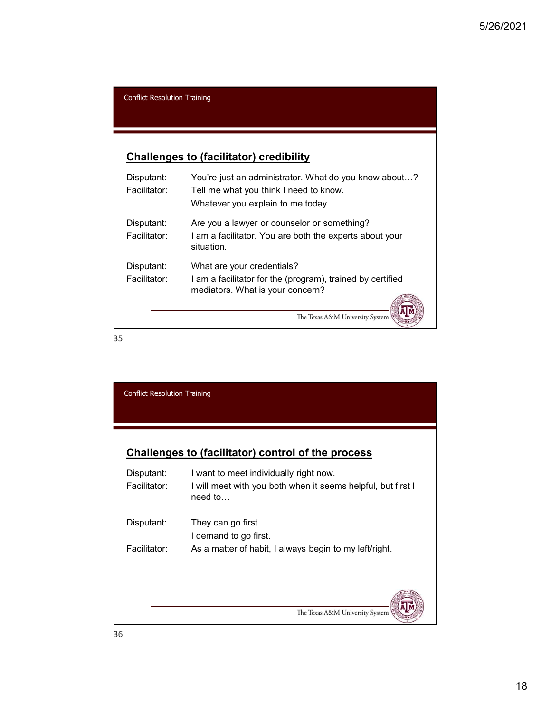# Challenges to (facilitator) credibility

|                                     |                                                                                                                                      | 5/26/2021 |  |
|-------------------------------------|--------------------------------------------------------------------------------------------------------------------------------------|-----------|--|
|                                     |                                                                                                                                      |           |  |
| <b>Conflict Resolution Training</b> |                                                                                                                                      |           |  |
|                                     | <b>Challenges to (facilitator) credibility</b>                                                                                       |           |  |
| Disputant:<br>Facilitator:          | You're just an administrator. What do you know about?<br>Tell me what you think I need to know.<br>Whatever you explain to me today. |           |  |
| Disputant:<br>Facilitator:          | Are you a lawyer or counselor or something?<br>I am a facilitator. You are both the experts about your<br>situation.                 |           |  |
| Disputant:<br>Facilitator:          | What are your credentials?<br>I am a facilitator for the (program), trained by certified<br>mediators. What is your concern?         |           |  |
|                                     | The Texas A&M University System                                                                                                      |           |  |

|                                     | situation.                                                                                     |
|-------------------------------------|------------------------------------------------------------------------------------------------|
| Disputant:                          | What are your credentials?                                                                     |
| Facilitator:                        | I am a facilitator for the (program), trained by certified<br>mediators. What is your concern? |
|                                     | The Texas A&M University System                                                                |
| 35                                  |                                                                                                |
|                                     |                                                                                                |
|                                     |                                                                                                |
| <b>Conflict Resolution Training</b> |                                                                                                |
|                                     |                                                                                                |
|                                     |                                                                                                |
|                                     |                                                                                                |
|                                     | Challenges to (facilitator) control of the process                                             |
| Disputant:                          | I want to meet individually right now.                                                         |
| Facilitator:                        | I will meet with you both when it seems helpful, but first I<br>need to                        |
| Disputant:                          | They can go first.                                                                             |
|                                     | I demand to go first.                                                                          |
| Facilitator:                        | As a matter of habit, I always begin to my left/right.                                         |
|                                     |                                                                                                |
|                                     |                                                                                                |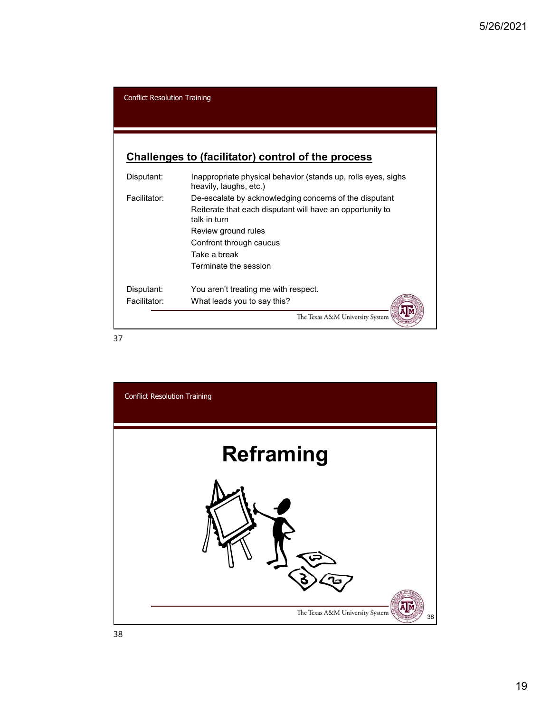|                                     |                                                                                         | 5/26/2021 |
|-------------------------------------|-----------------------------------------------------------------------------------------|-----------|
|                                     |                                                                                         |           |
|                                     |                                                                                         |           |
|                                     |                                                                                         |           |
| <b>Conflict Resolution Training</b> |                                                                                         |           |
|                                     |                                                                                         |           |
|                                     |                                                                                         |           |
|                                     |                                                                                         |           |
|                                     |                                                                                         |           |
|                                     | Challenges to (facilitator) control of the process                                      |           |
| Disputant:                          | Inappropriate physical behavior (stands up, rolls eyes, sighs<br>heavily, laughs, etc.) |           |
| Facilitator:                        | De-escalate by acknowledging concerns of the disputant                                  |           |
|                                     | Reiterate that each disputant will have an opportunity to                               |           |
|                                     | talk in turn                                                                            |           |
|                                     | Review ground rules                                                                     |           |
|                                     | Confront through caucus<br>Take a break                                                 |           |
|                                     | Terminate the session                                                                   |           |
|                                     |                                                                                         |           |
| Disputant:<br>Facilitator:          | You aren't treating me with respect.<br>What leads you to say this?                     |           |

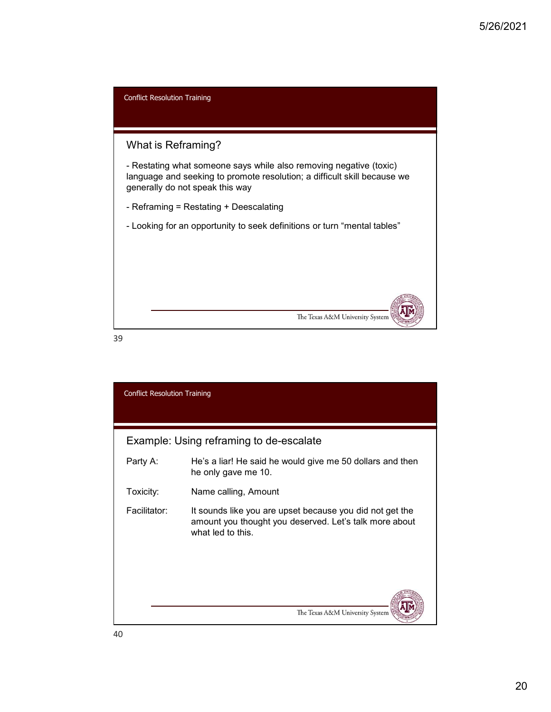

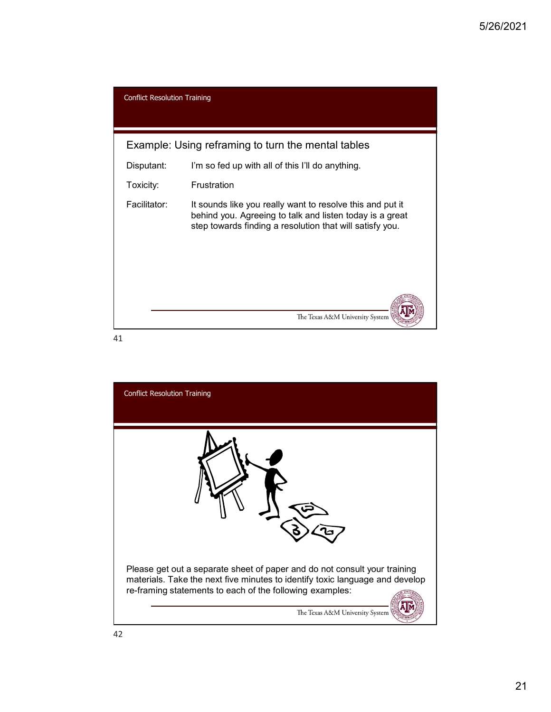|                                     |                                                                                                                                                                                   | 5/26/20 |
|-------------------------------------|-----------------------------------------------------------------------------------------------------------------------------------------------------------------------------------|---------|
|                                     |                                                                                                                                                                                   |         |
| <b>Conflict Resolution Training</b> |                                                                                                                                                                                   |         |
|                                     |                                                                                                                                                                                   |         |
|                                     | Example: Using reframing to turn the mental tables                                                                                                                                |         |
| Disputant:                          | I'm so fed up with all of this I'll do anything.                                                                                                                                  |         |
| Toxicity:                           | Frustration                                                                                                                                                                       |         |
| Facilitator:                        | It sounds like you really want to resolve this and put it<br>behind you. Agreeing to talk and listen today is a great<br>step towards finding a resolution that will satisfy you. |         |
|                                     |                                                                                                                                                                                   |         |
|                                     |                                                                                                                                                                                   |         |
|                                     | The Texas A&M University System                                                                                                                                                   |         |

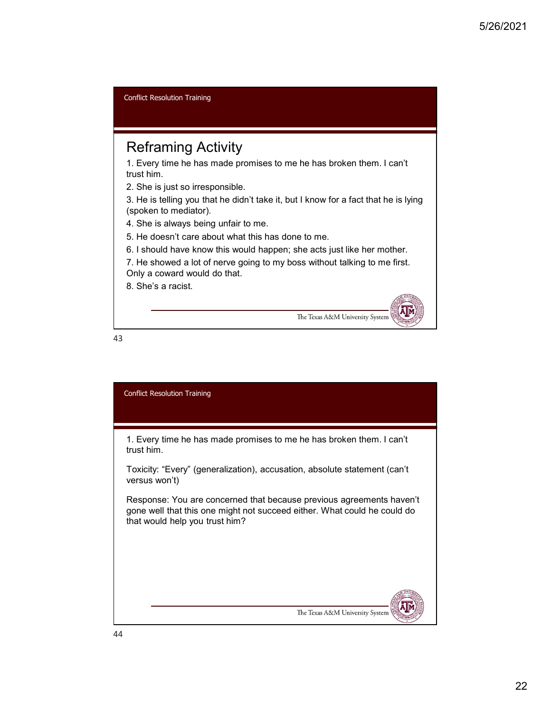Reframing Activity 1. Every time he has made promises to me he has broken them. I can't trust him. 2. She is just so irresponsible. 3. He is telling you that he didn't take it, but I know for a fact that he is lying (spoken to mediator). 4. She is always being unfair to me. 5. He doesn't care about what this has done to me. 6. I should have know this would happen; she acts just like her mother. 7. He showed a lot of nerve going to my boss without talking to me first. Only a coward would do that. 8. She's a racist. Conflict Resolution Training

The Texas A&M University System

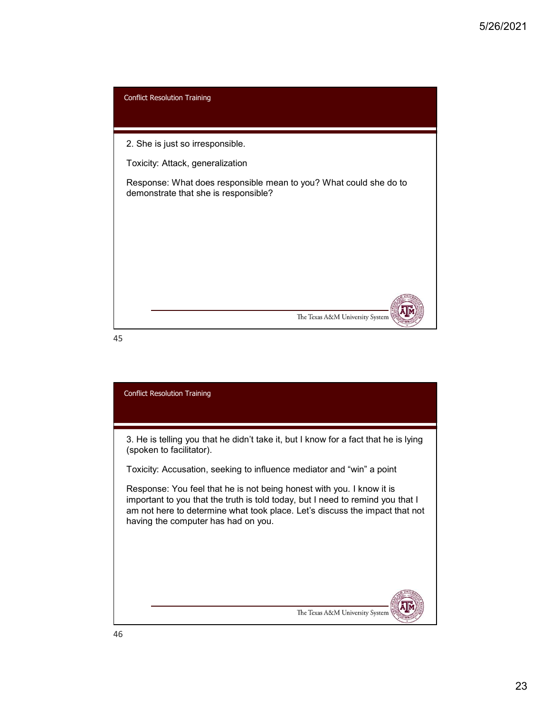

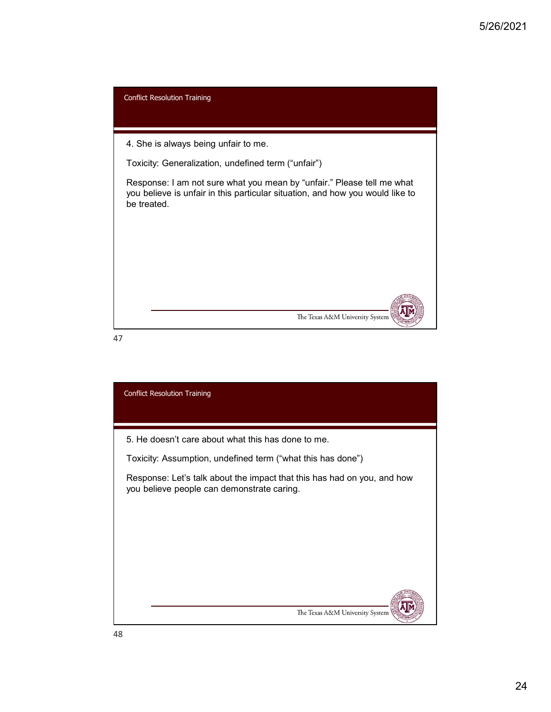

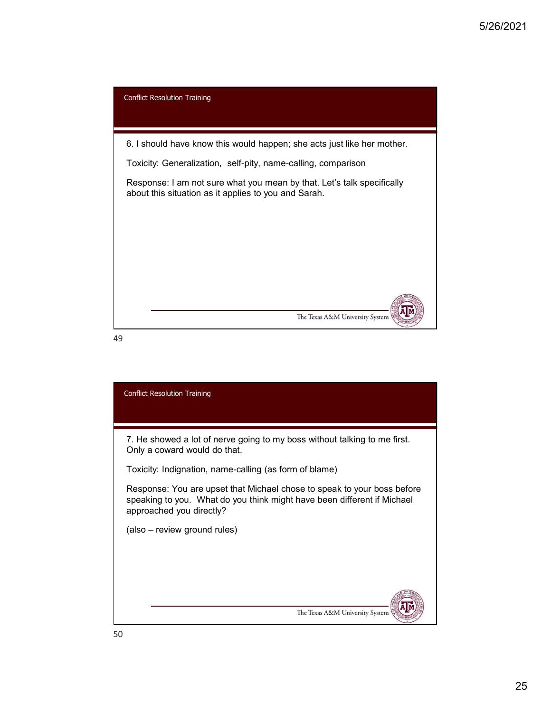

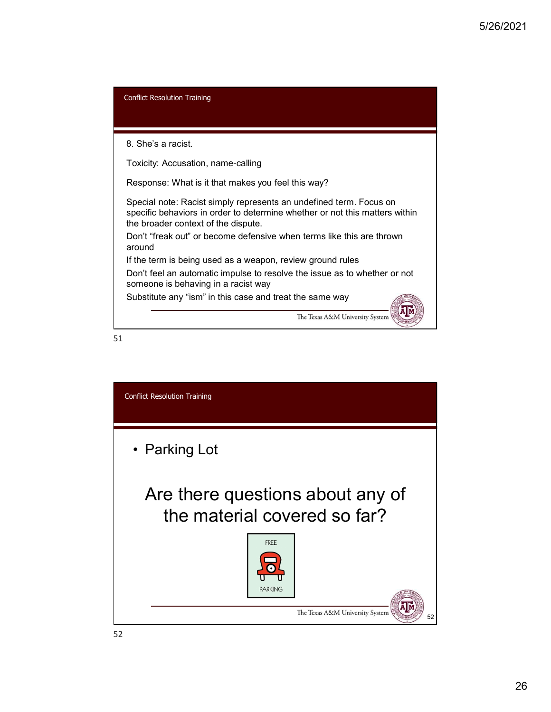

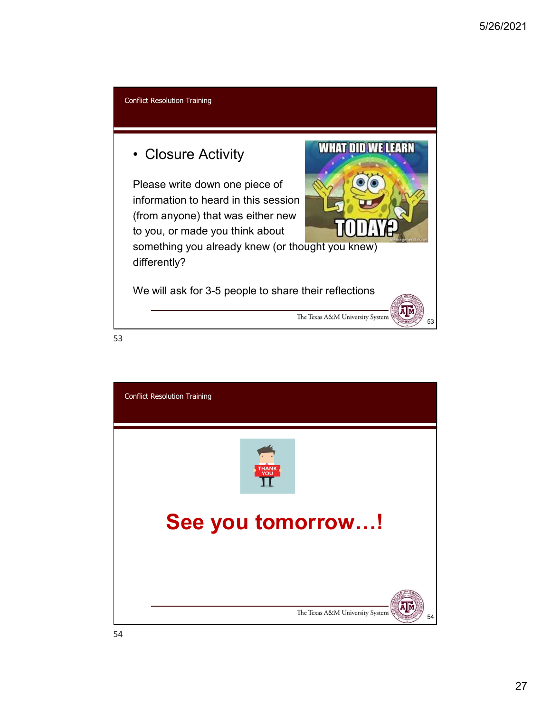

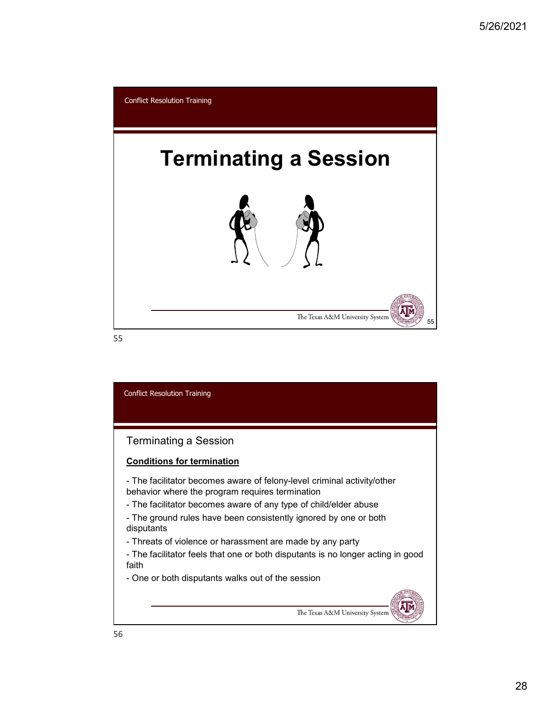

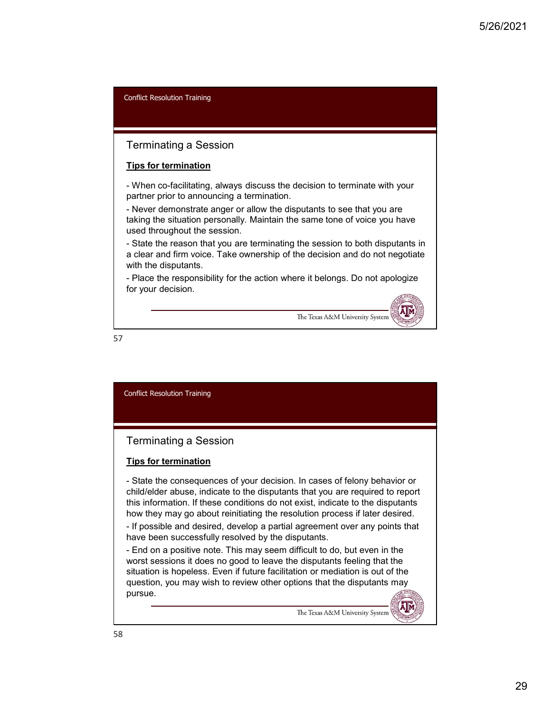## Terminating a Session

#### Tips for termination

partner prior to announcing a termination.

Saltrich Conflict Resolution Training<br>- When co-facilitating, always discuss the decision to terminate with your<br>partner pior to announcing a termination.<br>- Never demonstrate anger or allow the disputants to see that you a Forminating a Session<br>
Tips for termination<br>
- When co-facilitating, always discuss the decision to terminate with your<br>
partner prior to announcing a termination.<br>
- Never demonstrate anger or allow the disputants to see taking the situation personally. Maintain the same tone of voice you have used throughout the session.

5/26/2<br>
Conflict Resolution Training<br>
Tigs for termination<br>
Tips for termination<br>
partner prior to announcing a termination.<br>
partner prior to announcing a termination.<br>
- Never demonstrate anger or allow the disputants to a clear and firm voice. Take ownership of the decision and do not negotiate with the disputants. Forminating a Session<br>
Tips for termination<br>
The response of the response of the response of the response of the response of<br>
Particle responsible, always discuss the decision to terminate with your<br>
Dependence of the res

for your decision.

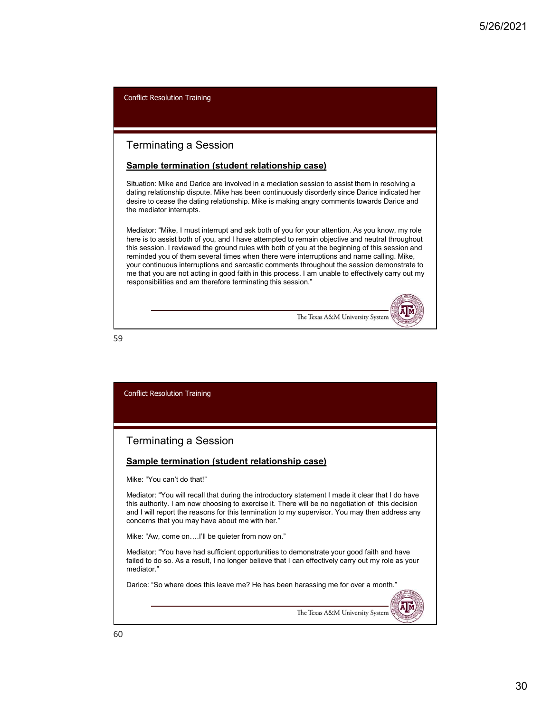## Terminating a Session

#### Sample termination (student relationship case)

Situation: Mike and Darice are involved in a mediation session to assist them in resolving a dating relationship dispute. Mike has been continuously disorderly since Darice indicated her desire to cease the dating relationship. Mike is making angry comments towards Darice and the mediator interrupts.

Mediator: "Mike, I must interrupt and ask both of you for your attention. As you know, my role here is to assist both of you, and I have attempted to remain objective and neutral throughout this session. I reviewed the ground rules with both of you at the beginning of this session and reminded you of them several times when there were interruptions and name calling. Mike, your continuous interruptions and sarcastic comments throughout the session demonstrate to me that you are not acting in good faith in this process. I am unable to effectively carry out my responsibilities and am therefore terminating this session."



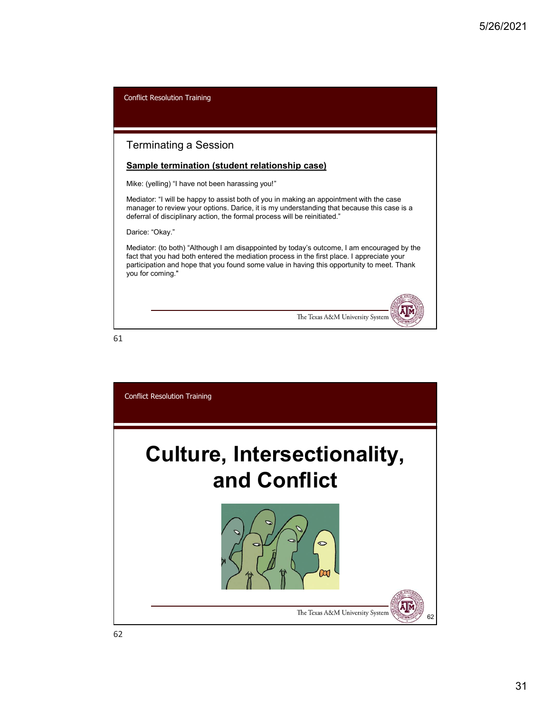| <b>Conflict Resolution Training</b>                                                                                                                                                                                                                                                                        |
|------------------------------------------------------------------------------------------------------------------------------------------------------------------------------------------------------------------------------------------------------------------------------------------------------------|
|                                                                                                                                                                                                                                                                                                            |
| Terminating a Session                                                                                                                                                                                                                                                                                      |
| <b>Sample termination (student relationship case)</b>                                                                                                                                                                                                                                                      |
| Mike: (yelling) "I have not been harassing you!"                                                                                                                                                                                                                                                           |
| Mediator: "I will be happy to assist both of you in making an appointment with the case<br>manager to review your options. Darice, it is my understanding that because this case is a<br>deferral of disciplinary action, the formal process will be reinitiated."                                         |
| Darice: "Okay."                                                                                                                                                                                                                                                                                            |
| Mediator: (to both) "Although I am disappointed by today's outcome, I am encouraged by the<br>fact that you had both entered the mediation process in the first place. I appreciate your<br>participation and hope that you found some value in having this opportunity to meet. Thank<br>you for coming." |
| The Texas A&M University System                                                                                                                                                                                                                                                                            |
| 61                                                                                                                                                                                                                                                                                                         |

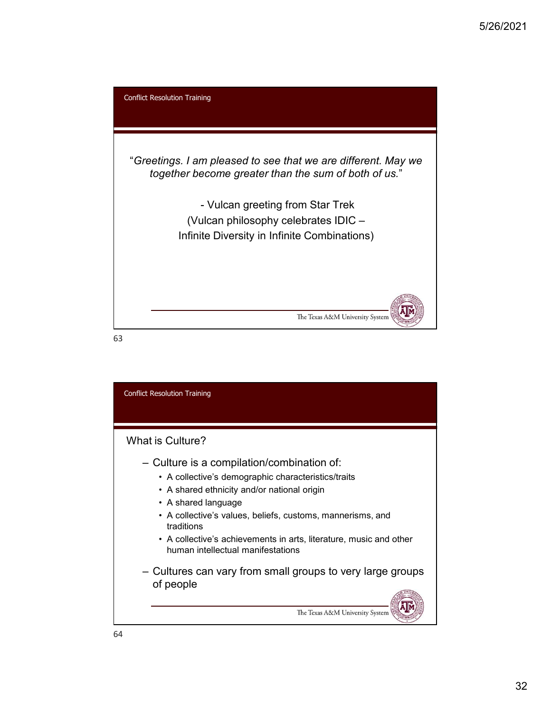

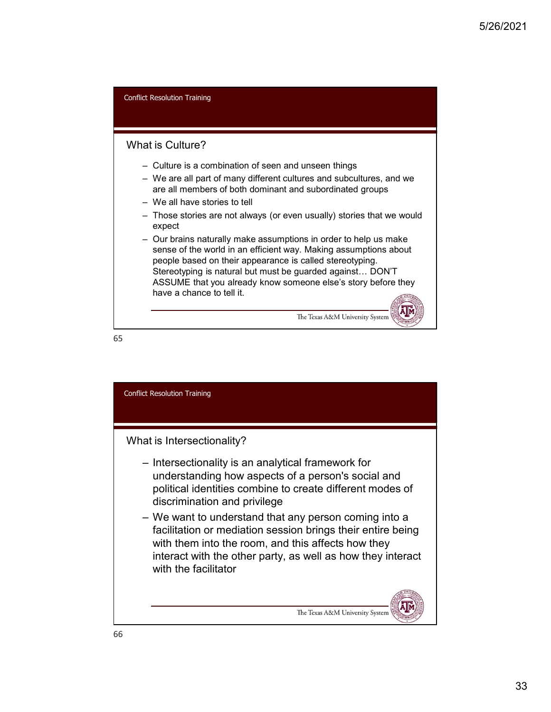

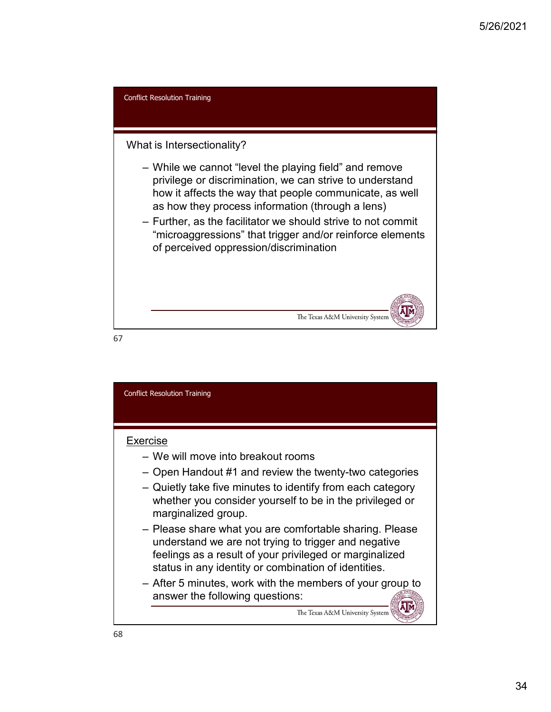

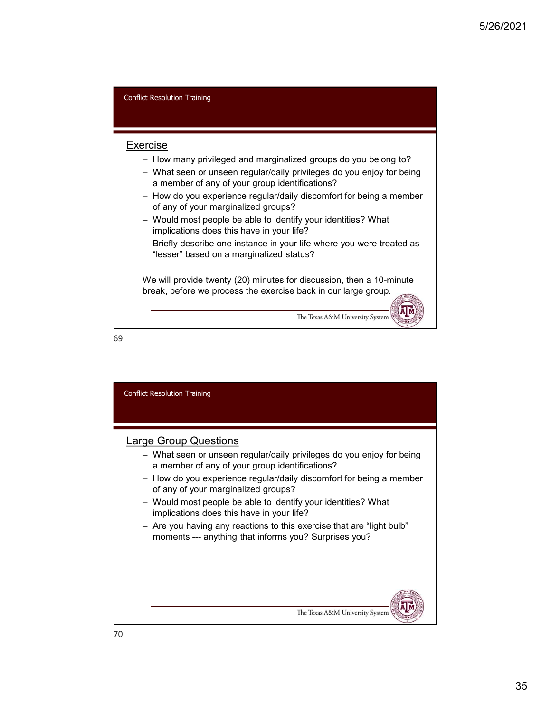

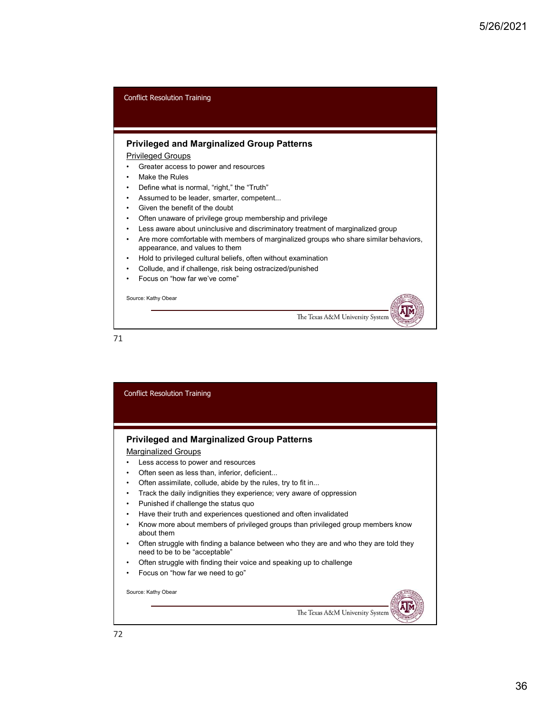

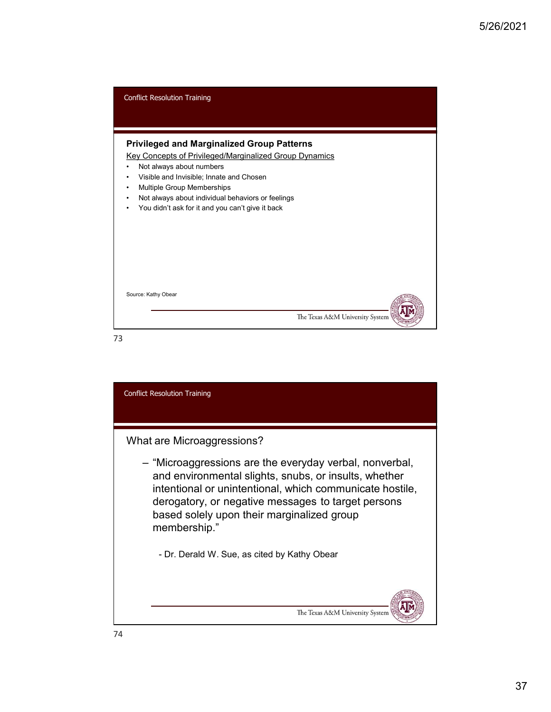

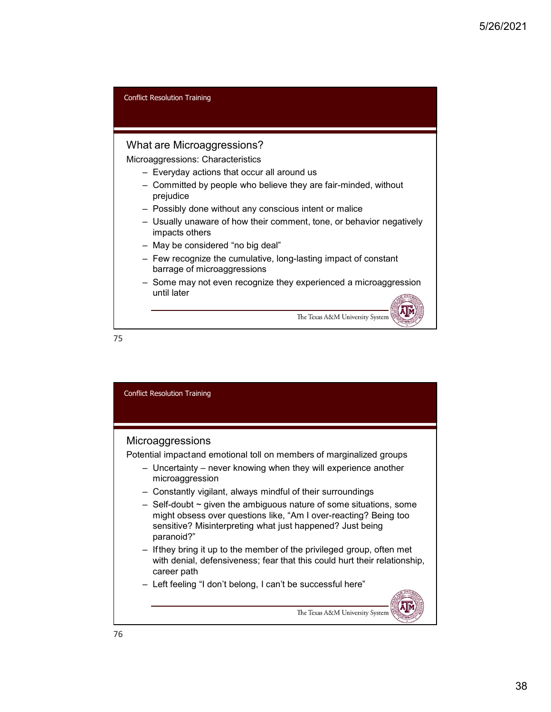

## What are Microaggressions?

Microaggressions: Characteristics

- 
- Freedoution Training<br>
at are Microaggressions?<br>
Transference Compare Compare Compare Compare Compare Compare Compare Compare Committed by people who believe they are fair-minded, without<br>
Transference Dossibly done witho prejudice
- 
- 5<br>
Expedition Training<br>
at are Microaggressions?<br>
Committed by people who believe they are fair-minded, without<br>
prejudice<br>
 Committed by people who believe they are fair-minded, without<br>
prejudice<br>
 Usually unaware of h 5/26/2021<br>
at are Microaggressions?<br>
at are Microaggressions?<br>
coaggressions: Characteristics<br>
- Everyday actions that occur all around us<br>
- Committed by people who believe they are fair-minded, without<br>
- Possibly done w 5/26/<br>
Example of how training<br>
at are Microaggressions?<br>
Consequences: Characteristics<br>
- Everyday actions that occur all around us<br>
committed by people who believe they are fair-minded, without<br>
prejudice<br>
- Mossibly don impacts others the Resolution Training<br>
at are Microaggressions?<br>
acqueressions: Characteristics<br>
— Committed by people who believe they are fair-minded, without<br>
prejudice<br>
— Possibly done without any conscious intent or malice<br>
— Possi France Constant (Training Constant Constant Constant Constant Constant Constant Constant Constant Constant Constant Constant Constant Constant Constant Constant Constant Constant Constant Constant Constant Constant Constan Resolution Training<br>
are Microaggressions?<br>
ggressions: Characteristics<br>
Everyday actions that occur all around us<br>
Committed by people who believe they are fair-minded, without<br>
Possibly done without any conscious intent decreases and the Theorem The Theorem Theorem Theorem Theorem Company and the Company and the Company of the present of the presenting they present they are fair-minded, without prejudice<br>
- Possibly done without any consc
- 
- 
- until later

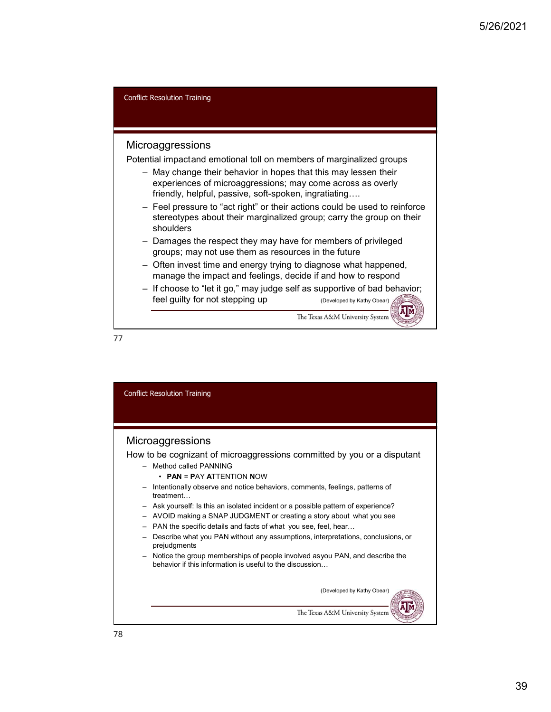#### **Microaggressions**

Potential impactand emotional toll on members of marginalized groups

- experiences of microaggressions; may come across as overly friendly, helpful, passive, soft-spoken, ingratiating….
- the Resolution Training<br>
Froaggressions<br>
Hial impactand emotional toll on members of marginalized groups<br>
 May change their behavior in hopes that this may lessen their<br>
experiences of microaggressions; may come across as 5/26/2<br>
Freedoution Training<br>
that impactant emotional toll on members of marginalized groups<br>
They change their behavior in hopes that this may lessen their<br>
experiences of microaggressions, may come across as overly<br>
fri stereotypes about their marginalized group; carry the group on their shoulders for<br>
the respection of the respective the respective theorem is the respective<br>
the respective of members of microsopersions; may come are their<br>
therefore of microsopersions; may come across as overly<br>
freely, helpful, pa Frace Content of Triangential and the members of marginalized groups<br>
- May change their behavior in hopes that this may lessen their<br>
- May change their behavior in bones that this may lessen their<br>
experiences of microag Fracta Consequence in the matter of the Technomian of the Technomian input<br>
The Technomian of the Consequence of microaggressions; may come across as overly<br>
triendly, helpful, passive, ost-spoker, ingratiating...<br>
Feel p
- groups; may not use them as resources in the future
- manage the impact and feelings, decide if and how to respond
- feel guilty for not stepping up (Developed by Kathy Obear)

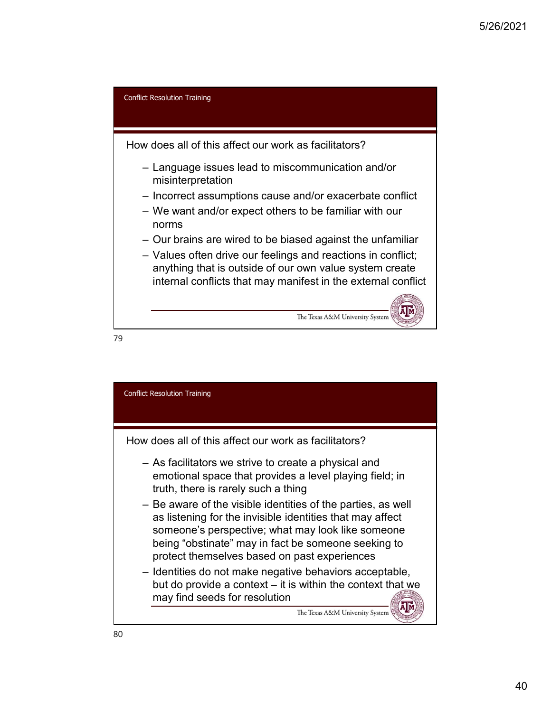

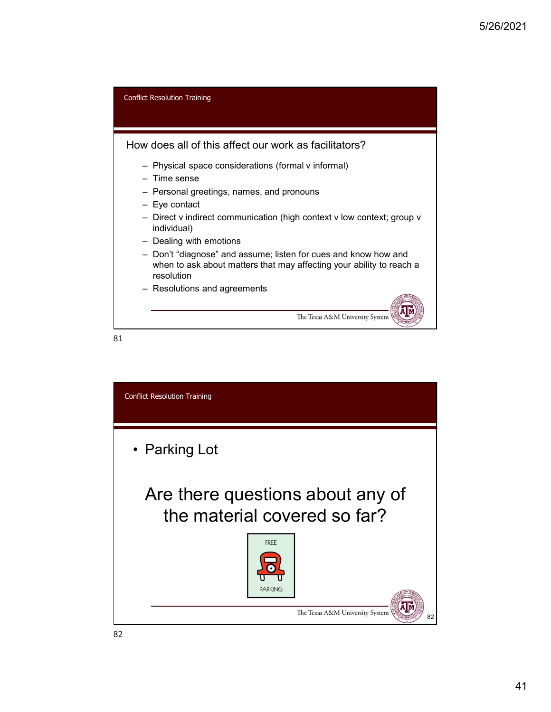